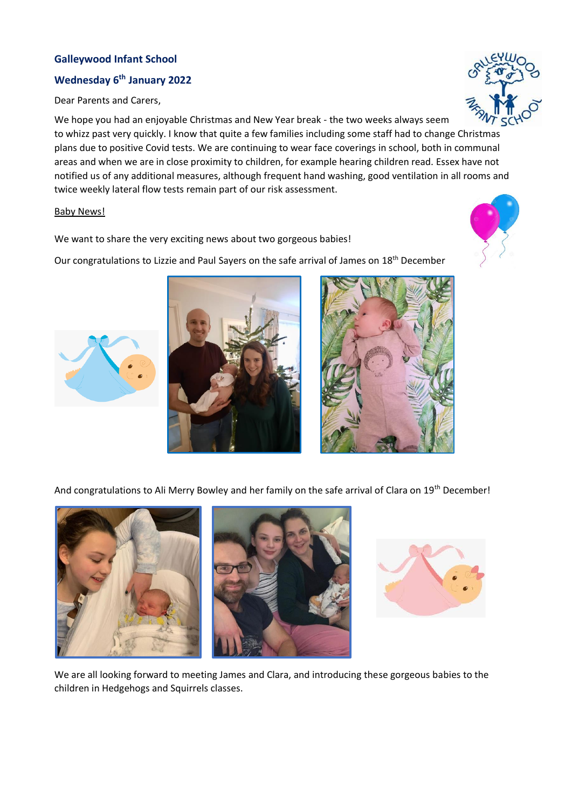## **Galleywood Infant School**

## **Wednesday 6th January 2022**

Dear Parents and Carers,

We hope you had an enjoyable Christmas and New Year break - the two weeks always seem to whizz past very quickly. I know that quite a few families including some staff had to change Christmas plans due to positive Covid tests. We are continuing to wear face coverings in school, both in communal areas and when we are in close proximity to children, for example hearing children read. Essex have not notified us of any additional measures, although frequent hand washing, good ventilation in all rooms and twice weekly lateral flow tests remain part of our risk assessment.

## Baby News!

We want to share the very exciting news about two gorgeous babies!

Our congratulations to Lizzie and Paul Sayers on the safe arrival of James on 18<sup>th</sup> December

And congratulations to Ali Merry Bowley and her family on the safe arrival of Clara on 19<sup>th</sup> December!

children in Hedgehogs and Squirrels classes.